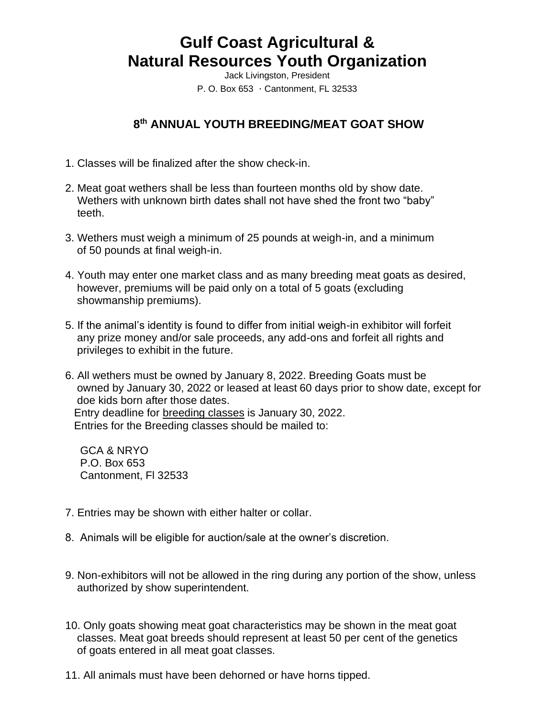## **Gulf Coast Agricultural & Natural Resources Youth Organization**

Jack Livingston, President P. O. Box  $653 \cdot$  Cantonment, FL 32533

## **8 th ANNUAL YOUTH BREEDING/MEAT GOAT SHOW**

- 1. Classes will be finalized after the show check-in.
- 2. Meat goat wethers shall be less than fourteen months old by show date. Wethers with unknown birth dates shall not have shed the front two "baby" teeth.
- 3. Wethers must weigh a minimum of 25 pounds at weigh-in, and a minimum of 50 pounds at final weigh-in.
- 4. Youth may enter one market class and as many breeding meat goats as desired, however, premiums will be paid only on a total of 5 goats (excluding showmanship premiums).
- 5. If the animal's identity is found to differ from initial weigh-in exhibitor will forfeit any prize money and/or sale proceeds, any add-ons and forfeit all rights and privileges to exhibit in the future.
- 6. All wethers must be owned by January 8, 2022. Breeding Goats must be owned by January 30, 2022 or leased at least 60 days prior to show date, except for doe kids born after those dates. Entry deadline for breeding classes is January 30, 2022. Entries for the Breeding classes should be mailed to:

 GCA & NRYO P.O. Box 653 Cantonment, Fl 32533

- 7. Entries may be shown with either halter or collar.
- 8. Animals will be eligible for auction/sale at the owner's discretion.
- 9. Non-exhibitors will not be allowed in the ring during any portion of the show, unless authorized by show superintendent.
- 10. Only goats showing meat goat characteristics may be shown in the meat goat classes. Meat goat breeds should represent at least 50 per cent of the genetics of goats entered in all meat goat classes.
- 11. All animals must have been dehorned or have horns tipped.